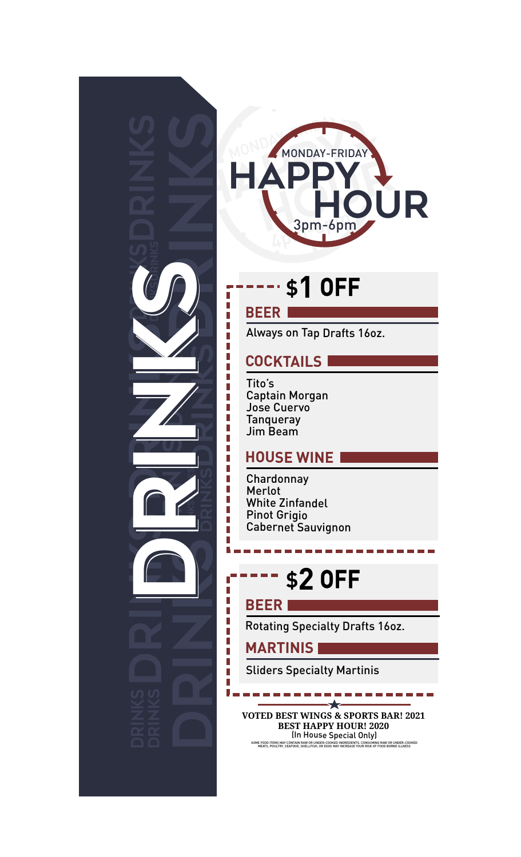



## **\$1 OFF**

#### **BEER**

Always on Tap Drafts 16oz.

#### **COCKTAILS**

Tito's Captain Morgan Jose Cuervo **Tanqueray** Jim Beam

#### **HOUSE WINE**

Chardonnay Merlot White Zinfandel Pinot Grigio Cabernet Sauvignon

# **\$2 OFF**

#### **BEER**

Rotating Specialty Drafts 16oz.

#### **MARTINIS**

Sliders Specialty Martinis

**VOTED BEST WINGS & SPORTS BAR! 2021 BEST HAPPY HOUR! 2020** (In House Special Only)

SOME FOOD ITEMS MAY CONTAIN RAW OR UNDER-COOKED INGREDIENTS. CONSUMING RAW OR UNDER-COOKED MEATS, POULTRY, SEAFOOD, SHELLFISH, OR EGGS MAY INCREASE YOUR RISK OF FOOD BORNE ILLNESS